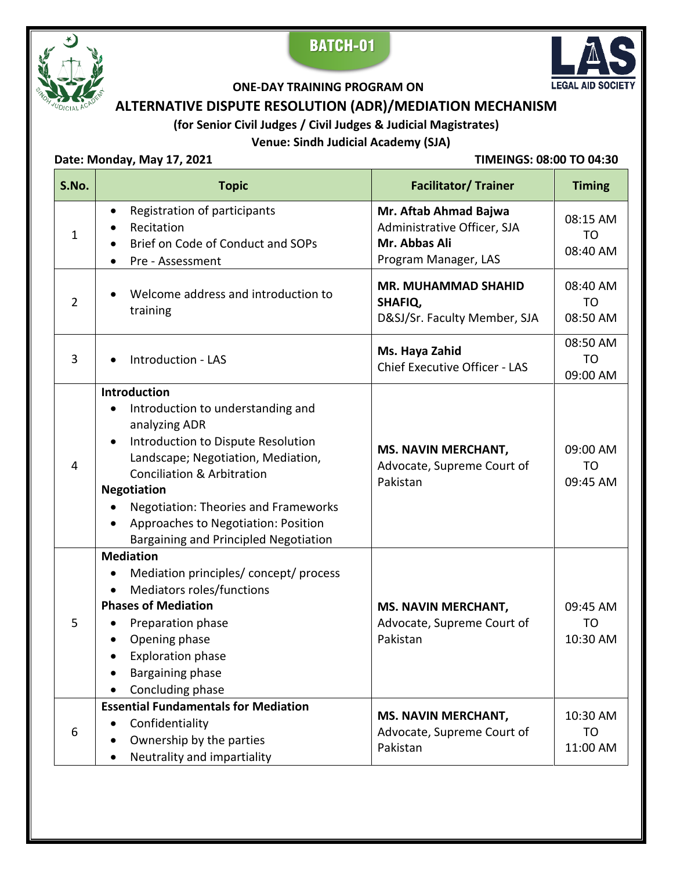





#### **ONE-DAY TRAINING PROGRAM ON**

# **ALTERNATIVE DISPUTE RESOLUTION (ADR)/MEDIATION MECHANISM**

# **(for Senior Civil Judges / Civil Judges & Judicial Magistrates)**

# **Venue: Sindh Judicial Academy (SJA)**

### **Date: Monday, May 17, 2021 TIMEINGS: 08:00 TO 04:30**

| S.No.          | <b>Topic</b>                                                                                                                                                                                                                                                                                                                                              | <b>Facilitator/ Trainer</b>                                                                   | <b>Timing</b>                          |
|----------------|-----------------------------------------------------------------------------------------------------------------------------------------------------------------------------------------------------------------------------------------------------------------------------------------------------------------------------------------------------------|-----------------------------------------------------------------------------------------------|----------------------------------------|
| 1              | Registration of participants<br>$\bullet$<br>Recitation<br>Brief on Code of Conduct and SOPs<br>Pre - Assessment                                                                                                                                                                                                                                          | Mr. Aftab Ahmad Bajwa<br>Administrative Officer, SJA<br>Mr. Abbas Ali<br>Program Manager, LAS | 08:15 AM<br>T <sub>O</sub><br>08:40 AM |
| $\overline{2}$ | Welcome address and introduction to<br>training                                                                                                                                                                                                                                                                                                           | <b>MR. MUHAMMAD SHAHID</b><br>SHAFIQ,<br>D&SJ/Sr. Faculty Member, SJA                         | 08:40 AM<br>T <sub>O</sub><br>08:50 AM |
| 3              | Introduction - LAS                                                                                                                                                                                                                                                                                                                                        | Ms. Haya Zahid<br>Chief Executive Officer - LAS                                               | 08:50 AM<br><b>TO</b><br>09:00 AM      |
| $\overline{4}$ | Introduction<br>Introduction to understanding and<br>$\bullet$<br>analyzing ADR<br>Introduction to Dispute Resolution<br>Landscape; Negotiation, Mediation,<br><b>Conciliation &amp; Arbitration</b><br><b>Negotiation</b><br><b>Negotiation: Theories and Frameworks</b><br>Approaches to Negotiation: Position<br>Bargaining and Principled Negotiation | <b>MS. NAVIN MERCHANT,</b><br>Advocate, Supreme Court of<br>Pakistan                          | 09:00 AM<br>T <sub>O</sub><br>09:45 AM |
| 5              | <b>Mediation</b><br>Mediation principles/concept/process<br>Mediators roles/functions<br><b>Phases of Mediation</b><br>Preparation phase<br>Opening phase<br><b>Exploration phase</b><br>$\bullet$<br>Bargaining phase<br>Concluding phase                                                                                                                | <b>MS. NAVIN MERCHANT,</b><br>Advocate, Supreme Court of<br>Pakistan                          | 09:45 AM<br>T <sub>O</sub><br>10:30 AM |
| 6              | <b>Essential Fundamentals for Mediation</b><br>Confidentiality<br>$\bullet$<br>Ownership by the parties<br>Neutrality and impartiality                                                                                                                                                                                                                    | <b>MS. NAVIN MERCHANT,</b><br>Advocate, Supreme Court of<br>Pakistan                          | 10:30 AM<br>T <sub>O</sub><br>11:00 AM |